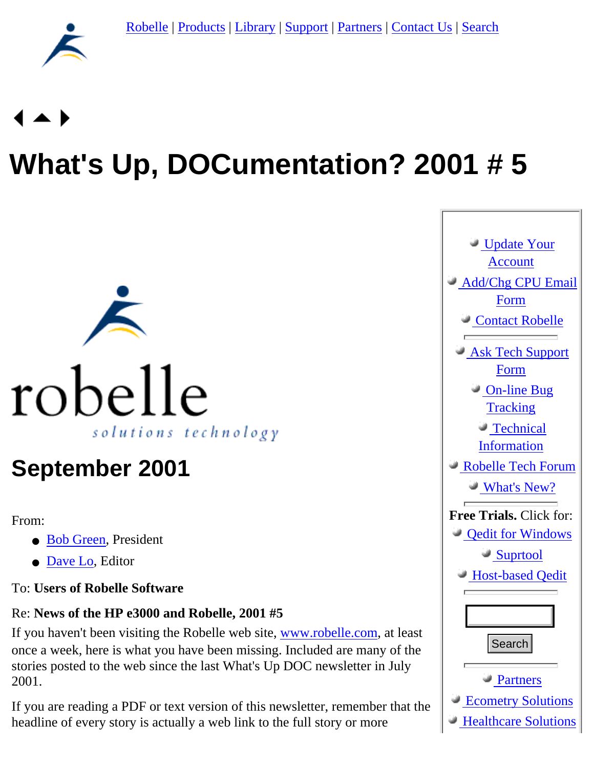

# **What's Up, DOCumentation? 2001 # 5**



## **September 2001**

From:

- [Bob Green](http://www.robelle.com/robelle.html#bob), President
- [Dave Lo,](http://www.robelle.com/robelle.html#dave) Editor

To: **Users of Robelle Software**

#### Re: **News of the HP e3000 and Robelle, 2001 #5**

If you haven't been visiting the Robelle web site, [www.robelle.com](http://www.robelle.com/), at least once a week, here is what you have been missing. Included are many of the stories posted to the web since the last What's Up DOC newsletter in July 2001.

If you are reading a PDF or text version of this newsletter, remember that the headline of every story is actually a web link to the full story or more

| <u>Update Your</u>                                |  |  |
|---------------------------------------------------|--|--|
| <b>Account</b>                                    |  |  |
| Add/Chg CPU Email                                 |  |  |
| Form                                              |  |  |
| Contact Robelle                                   |  |  |
|                                                   |  |  |
| <b>Ask Tech Support</b>                           |  |  |
| Form                                              |  |  |
| $\blacksquare$ On-line Bug                        |  |  |
| <b>Tracking</b>                                   |  |  |
| Technical                                         |  |  |
| <b>Information</b>                                |  |  |
| Robelle Tech Forum                                |  |  |
| - What's New?                                     |  |  |
| Free Trials. Click for:                           |  |  |
| <b>Qedit for Windows</b>                          |  |  |
| Suprtool                                          |  |  |
| Host-based Qedit                                  |  |  |
|                                                   |  |  |
|                                                   |  |  |
|                                                   |  |  |
| Search                                            |  |  |
|                                                   |  |  |
| <b>Partners</b>                                   |  |  |
| Ecometry Solutions<br><b>Healthcare Solutions</b> |  |  |
|                                                   |  |  |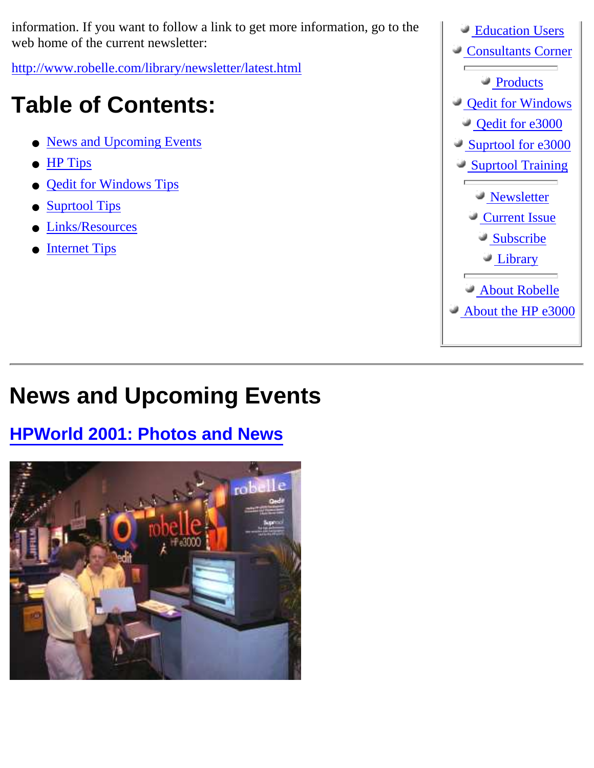information. If you want to follow a link to get more information, go to the web home of the current newsletter:

<http://www.robelle.com/library/newsletter/latest.html>

## **Table of Contents:**

- **[News and Upcoming Events](#page-1-0)**
- **[HP Tips](#page-3-0)**
- **[Qedit for Windows Tips](#page-5-0)**
- **[Suprtool Tips](#page-7-0)**
- [Links/Resources](#page-8-0)
- **[Internet Tips](#page-9-0)**



## <span id="page-1-0"></span>**News and Upcoming Events**

#### **[HPWorld 2001: Photos and News](http://www.robelle.com/hpworld/2001/)**

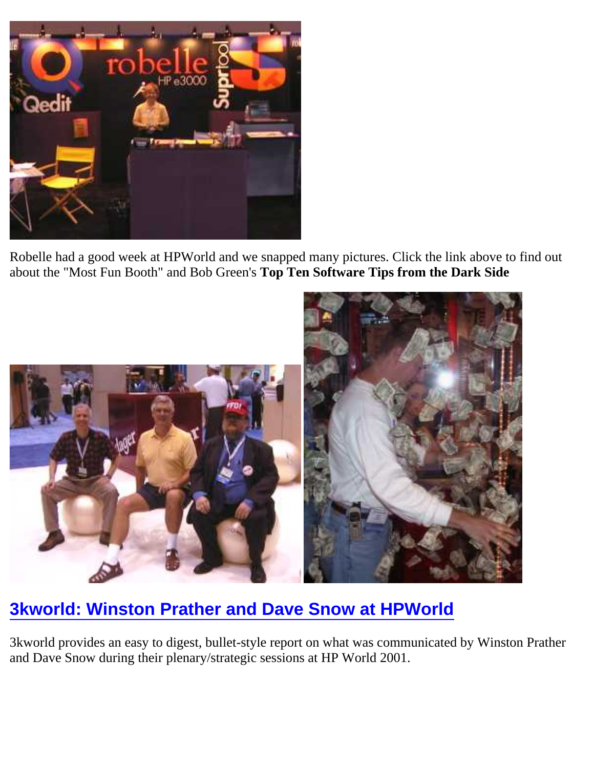

Robelle had a good week at HPWorld and we snapped many pictures. Click the link above to find out about the "Most Fun Booth" and Bob Green's **Top Ten Software Tips from the Dark Side**



### **[3kworld: Winston Prather and Dave Snow at HPWorld](http://www.3kworld.com/newsroom.asp?appmode=itemDetail&news_PK=3554)**

3kworld provides an easy to digest, bullet-style report on what was communicated by Winston Prather and Dave Snow during their plenary/strategic sessions at HP World 2001.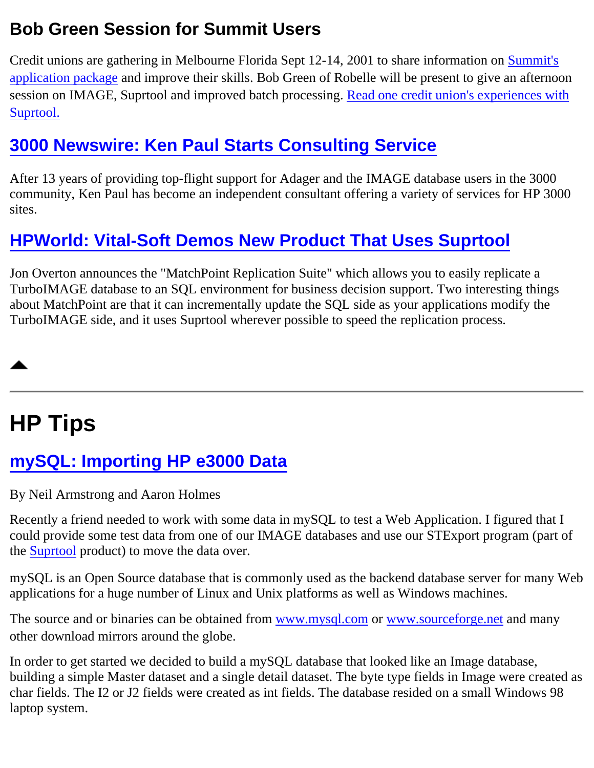#### **Bob Green Session for Summit Users**

Credit unions are gathering in Melbourne Florida Sept 12-14, 2001 to share information on **[Summit's](http://www.summitsite.com/summit/index2.html)** [application package](http://www.summitsite.com/summit/index2.html) and improve their skills. Bob Green of Robelle will be present to give an afternoon session on IMAGE, Suprtool and improved batch processing. [Read one credit union's experiences with](http://www.robelle.com/tips/chartway.html) [Suprtool.](http://www.robelle.com/tips/chartway.html)

## **[3000 Newswire: Ken Paul Starts Consulting Service](http://www.3kworld.com/newsroom.asp?appmode=itemDetail&news_PK=3429)**

After 13 years of providing top-flight support for Adager and the IMAGE database users in the 3000 community, Ken Paul has become an independent consultant offering a variety of services for HP 3000 sites.

## **[HPWorld: Vital-Soft Demos New Product That Uses Suprtool](http://www.vital-soft.com/html/matchpoint.htm)**

Jon Overton announces the "MatchPoint Replication Suite" which allows you to easily replicate a TurboIMAGE database to an SQL environment for business decision support. Two interesting things about MatchPoint are that it can incrementally update the SQL side as your applications modify the TurboIMAGE side, and it uses Suprtool wherever possible to speed the replication process.

## <span id="page-3-0"></span>**HP Tips**

## **[mySQL: Importing HP e3000 Data](http://www.robelle.com/tips/broaden.html#mysql)**

By Neil Armstrong and Aaron Holmes

Recently a friend needed to work with some data in mySQL to test a Web Application. I figured that I could provide some test data from one of our IMAGE databases and use our STExport program (part of the [Suprtool](http://www.robelle.com/support/suprtool) product) to move the data over.

mySQL is an Open Source database that is commonly used as the backend database server for many Web applications for a huge number of Linux and Unix platforms as well as Windows machines.

The source and or binaries can be obtained from [www.mysql.com](http://www.mysql.com/) or [www.sourceforge.net](http://www.sourceforge.net/) and many other download mirrors around the globe.

In order to get started we decided to build a mySQL database that looked like an Image database, building a simple Master dataset and a single detail dataset. The byte type fields in Image were created as char fields. The I2 or J2 fields were created as int fields. The database resided on a small Windows 98 laptop system.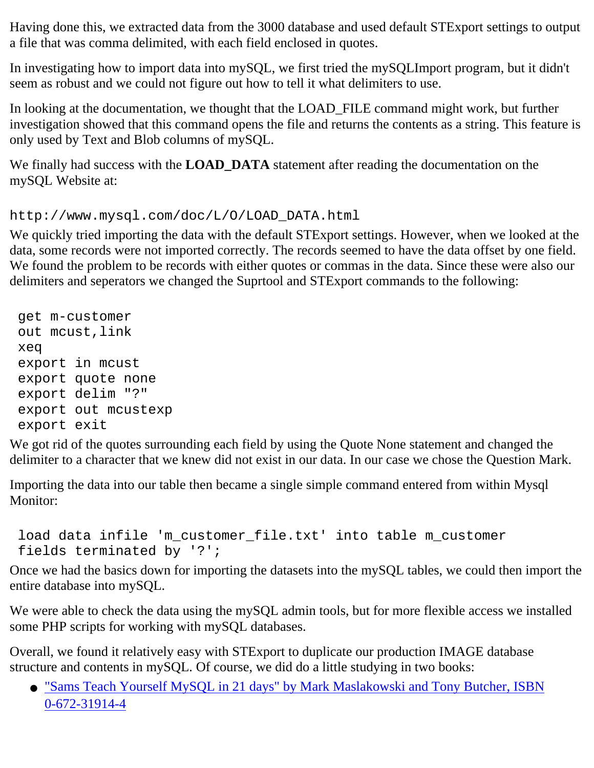Having done this, we extracted data from the 3000 database and used default STExport settings to output a file that was comma delimited, with each field enclosed in quotes.

In investigating how to import data into mySQL, we first tried the mySQLImport program, but it didn't seem as robust and we could not figure out how to tell it what delimiters to use.

In looking at the documentation, we thought that the LOAD\_FILE command might work, but further investigation showed that this command opens the file and returns the contents as a string. This feature is only used by Text and Blob columns of mySQL.

We finally had success with the **LOAD\_DATA** statement after reading the documentation on the mySQL Website at:

```
http://www.mysql.com/doc/L/O/LOAD_DATA.html
```
We quickly tried importing the data with the default STExport settings. However, when we looked at the data, some records were not imported correctly. The records seemed to have the data offset by one field. We found the problem to be records with either quotes or commas in the data. Since these were also our delimiters and seperators we changed the Suprtool and STExport commands to the following:

```
 get m-customer
 out mcust,link
 xeq
 export in mcust
 export quote none
 export delim "?"
 export out mcustexp
 export exit
```
We got rid of the quotes surrounding each field by using the Quote None statement and changed the delimiter to a character that we knew did not exist in our data. In our case we chose the Question Mark.

Importing the data into our table then became a single simple command entered from within Mysql Monitor:

```
 load data infile 'm_customer_file.txt' into table m_customer
 fields terminated by '?';
```
Once we had the basics down for importing the datasets into the mySQL tables, we could then import the entire database into mySQL.

We were able to check the data using the mySQL admin tools, but for more flexible access we installed some PHP scripts for working with mySQL databases.

Overall, we found it relatively easy with STExport to duplicate our production IMAGE database structure and contents in mySQL. Of course, we did do a little studying in two books:

• ["Sams Teach Yourself MySQL in 21 days" by Mark Maslakowski and Tony Butcher, ISBN](http://www.amazon.com/exec/obidos/ASIN/0672319144/) [0-672-31914-4](http://www.amazon.com/exec/obidos/ASIN/0672319144/)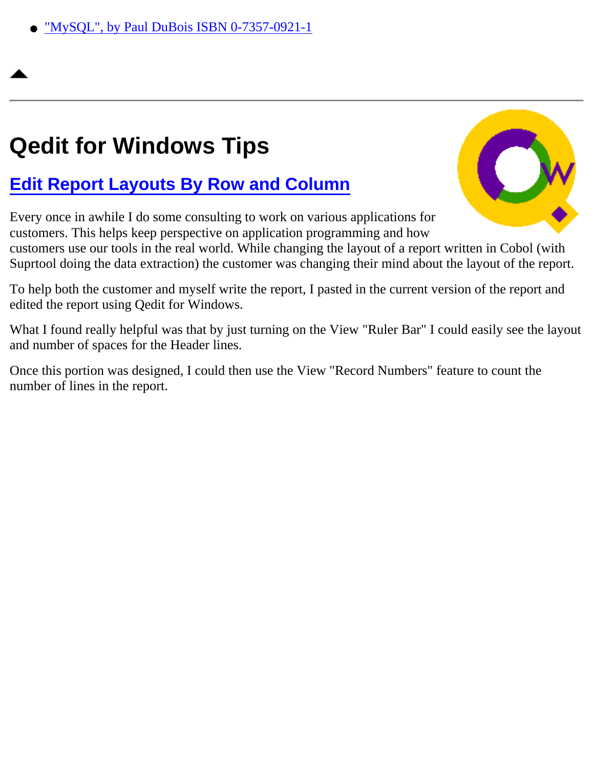["MySQL", by Paul DuBois ISBN 0-7357-0921-1](http://www.amazon.com/exec/obidos/ASIN/0735709211/)

## <span id="page-5-0"></span>**Qedit for Windows Tips**

#### **[Edit Report Layouts By Row and Column](http://www.robelle.com/tips/qwin.html#repdesign)**

Every once in awhile I do some consulting to work on various applications for customers. This helps keep perspective on application programming and how customers use our tools in the real world. While changing the layout of a report written in Cobol (with Suprtool doing the data extraction) the customer was changing their mind about the layout of the report.

To help both the customer and myself write the report, I pasted in the current version of the report and edited the report using Qedit for Windows.

What I found really helpful was that by just turning on the View "Ruler Bar" I could easily see the layout and number of spaces for the Header lines.

Once this portion was designed, I could then use the View "Record Numbers" feature to count the number of lines in the report.

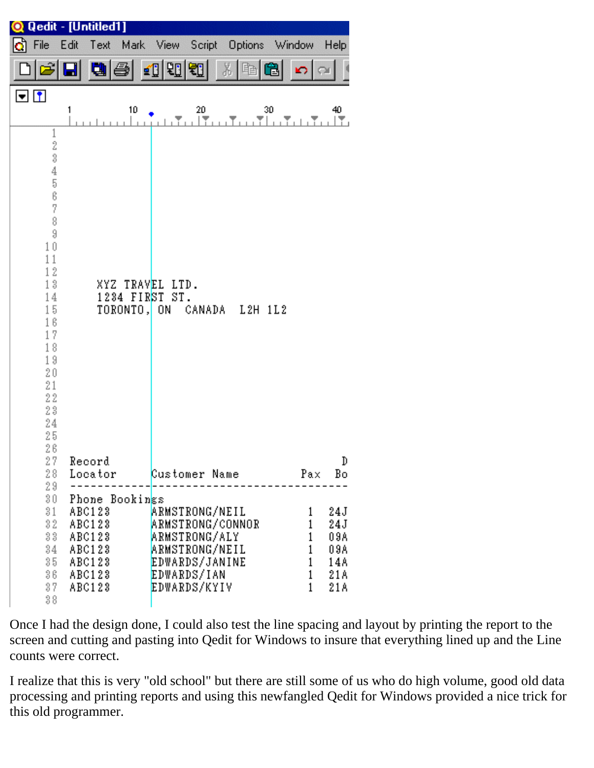| Qedit - [Untitled1]<br>O                  |                                      |                                   |  |
|-------------------------------------------|--------------------------------------|-----------------------------------|--|
| ю<br>File Edit                            | Text Mark View Script Options Window | Help                              |  |
| 回                                         | 40 20 20<br>渹<br>晒                   |                                   |  |
| $\blacksquare$ $\blacksquare$             |                                      |                                   |  |
| 10<br>1                                   | 20<br>30                             | 40                                |  |
| 1                                         |                                      |                                   |  |
| 2 3 4 5                                   |                                      |                                   |  |
|                                           |                                      |                                   |  |
| 6<br>7                                    |                                      |                                   |  |
| 8<br>9                                    |                                      |                                   |  |
| 10                                        |                                      |                                   |  |
| 11<br>12                                  |                                      |                                   |  |
| 13<br>XYZ TRAVEL LTD.<br>14<br>1234 FIRST | ST.                                  |                                   |  |
| 15<br>16                                  | TORONTO, ON CANADA L2H 1L2           |                                   |  |
| 17<br>18                                  |                                      |                                   |  |
| 19                                        |                                      |                                   |  |
| $20\,$<br>$^{21}$                         |                                      |                                   |  |
| $^{22}$<br>23                             |                                      |                                   |  |
| 24<br>25                                  |                                      |                                   |  |
| 26                                        |                                      |                                   |  |
| 27<br>Record<br>28<br>Locator             | Customer Name Pax                    | D<br>Bo                           |  |
| 29<br>30.<br>Phone Bookings               |                                      |                                   |  |
| 31<br>ABC123<br>$3\,2$<br>ABC123          | ARMSTRONG/NEIL<br>ARMSTRONG/CONNOR   | 24 J<br>1<br>$\mathbf{1}$<br>24 J |  |
| 33<br>ABC123                              | ARMSTRONG/ALY                        | 1<br>09A                          |  |
| 34<br>ABC123<br>35<br>ABC123              | ARMSTRONG/NEIL<br>EDWARDS/JANINE     | 1<br>09A<br>1<br>14A              |  |
| 36<br>ABC123<br>37<br>ABC123              | EDWARDS/IAN<br>EDWARDS/KYIV          | 1<br>21A<br>1<br>21 A             |  |
| 38                                        |                                      |                                   |  |

Once I had the design done, I could also test the line spacing and layout by printing the report to the screen and cutting and pasting into Qedit for Windows to insure that everything lined up and the Line counts were correct.

I realize that this is very "old school" but there are still some of us who do high volume, good old data processing and printing reports and using this newfangled Qedit for Windows provided a nice trick for this old programmer.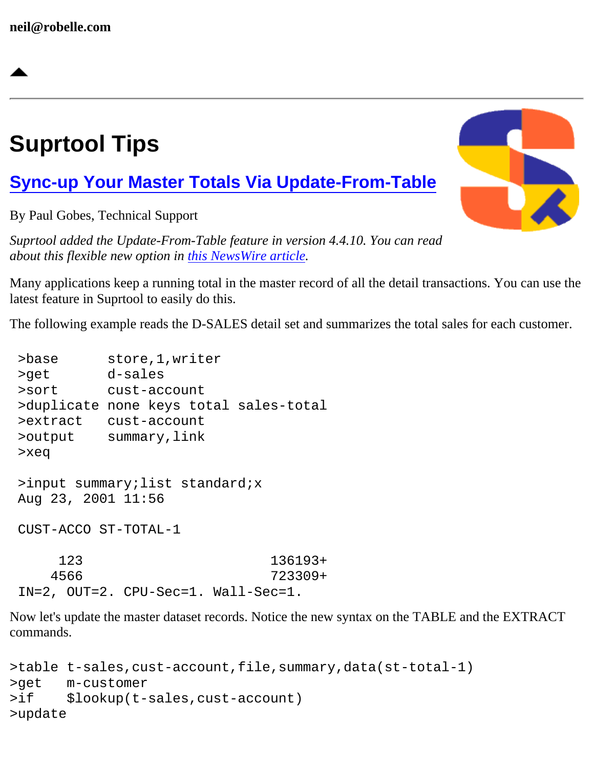## <span id="page-7-0"></span>**Suprtool Tips**

## **[Sync-up Your Master Totals Via Update-From-Table](http://www.robelle.com/tips/upd-from-table.html)**

By Paul Gobes, Technical Support

*Suprtool added the Update-From-Table feature in version 4.4.10. You can read about this flexible new option in [this NewsWire article.](http://www.3000newswire.com/FN-RTechRob-01Jul.html)*

Many applications keep a running total in the master record of all the detail transactions. You can use the latest feature in Suprtool to easily do this.

The following example reads the D-SALES detail set and summarizes the total sales for each customer.

```
 >base store,1,writer
 >get d-sales
 >sort cust-account
 >duplicate none keys total sales-total
 >extract cust-account
 >output summary,link
 >xeq
 >input summary;list standard;x
 Aug 23, 2001 11:56
 CUST-ACCO ST-TOTAL-1
     123 136193+
    4566 723309+
 IN=2, OUT=2. CPU-Sec=1. Wall-Sec=1.
```
Now let's update the master dataset records. Notice the new syntax on the TABLE and the EXTRACT commands.

```
>table t-sales,cust-account,file,summary,data(st-total-1)
>get m-customer
>if $lookup(t-sales,cust-account)
>update
```
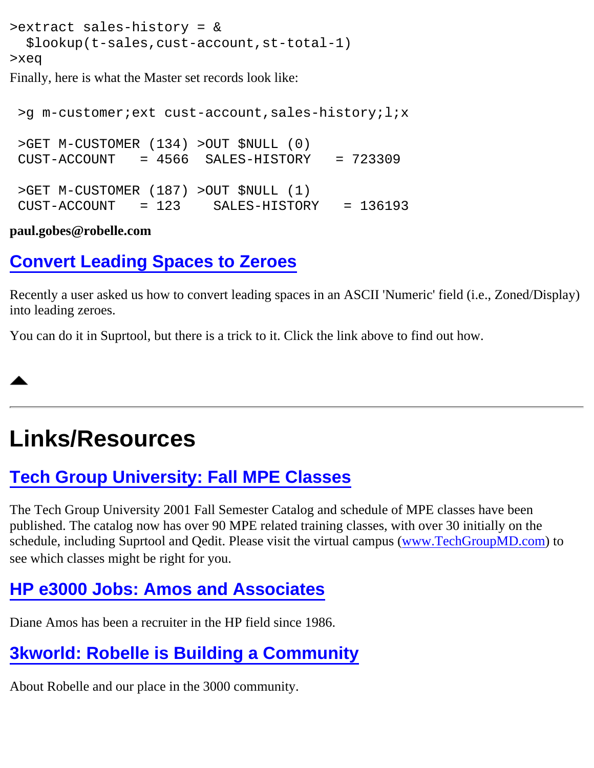```
>extract sales-history = &
   $lookup(t-sales,cust-account,st-total-1)
>xeq
Finally, here is what the Master set records look like:
```
 >g m-customer;ext cust-account,sales-history;l;x >GET M-CUSTOMER (134) >OUT \$NULL (0) CUST-ACCOUNT = 4566 SALES-HISTORY = 723309 >GET M-CUSTOMER (187) >OUT \$NULL (1) CUST-ACCOUNT = 123 SALES-HISTORY = 136193

**paul.gobes@robelle.com**

### **[Convert Leading Spaces to Zeroes](http://www.robelle.com/tips/suprtool.html#leadingzeros)**

Recently a user asked us how to convert leading spaces in an ASCII 'Numeric' field (i.e., Zoned/Display) into leading zeroes.

You can do it in Suprtool, but there is a trick to it. Click the link above to find out how.

## <span id="page-8-0"></span>**Links/Resources**

#### **[Tech Group University: Fall MPE Classes](http://www.techgroupmd.com/)**

The Tech Group University 2001 Fall Semester Catalog and schedule of MPE classes have been published. The catalog now has over 90 MPE related training classes, with over 30 initially on the schedule, including Suprtool and Qedit. Please visit the virtual campus [\(www.TechGroupMD.com](http://www.techgroupmd.com/)) to see which classes might be right for you.

#### **[HP e3000 Jobs: Amos and Associates](http://www.amosassociates.com/)**

Diane Amos has been a recruiter in the HP field since 1986.

## **[3kworld: Robelle is Building a Community](http://www.3kworld.com/newsroom.asp?appmode=itemDetail&news_PK=3538)**

About Robelle and our place in the 3000 community.